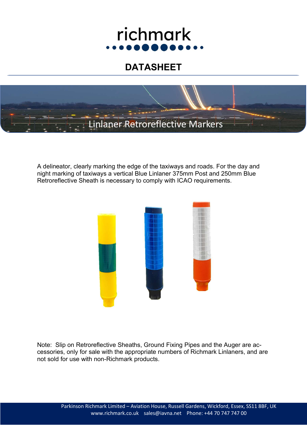# richmark

## DATASHEET



A delineator, clearly marking the edge of the taxiways and roads. For the day and night marking of taxiways a vertical Blue Linlaner 375mm Post and 250mm Blue Retroreflective Sheath is necessary to comply with ICAO requirements.



Note: Slip on Retroreflective Sheaths, Ground Fixing Pipes and the Auger are accessories, only for sale with the appropriate numbers of Richmark Linlaners, and are not sold for use with non-Richmark products.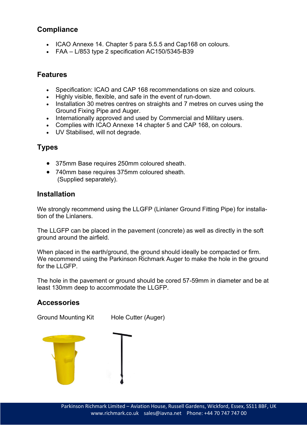#### **Compliance**

- ICAO Annexe 14. Chapter 5 para 5.5.5 and Cap168 on colours.
- $\bullet$  FAA L/853 type 2 specification AC150/5345-B39

#### Features

- Specification: ICAO and CAP 168 recommendations on size and colours.
- Highly visible, flexible, and safe in the event of run-down.
- Installation 30 metres centres on straights and 7 metres on curves using the Ground Fixing Pipe and Auger.
- Internationally approved and used by Commercial and Military users.
- Complies with ICAO Annexe 14 chapter 5 and CAP 168, on colours.
- UV Stabilised, will not degrade.

#### Types

- 375mm Base requires 250mm coloured sheath.
- 740mm base requires 375mm coloured sheath. (Supplied separately).

#### **Installation**

We strongly recommend using the LLGFP (Linlaner Ground Fitting Pipe) for installation of the Linlaners.

The LLGFP can be placed in the pavement (concrete) as well as directly in the soft ground around the airfield.

When placed in the earth/ground, the ground should ideally be compacted or firm. We recommend using the Parkinson Richmark Auger to make the hole in the ground for the LLGFP.

The hole in the pavement or ground should be cored 57-59mm in diameter and be at least 130mm deep to accommodate the LLGFP.

#### **Accessories**